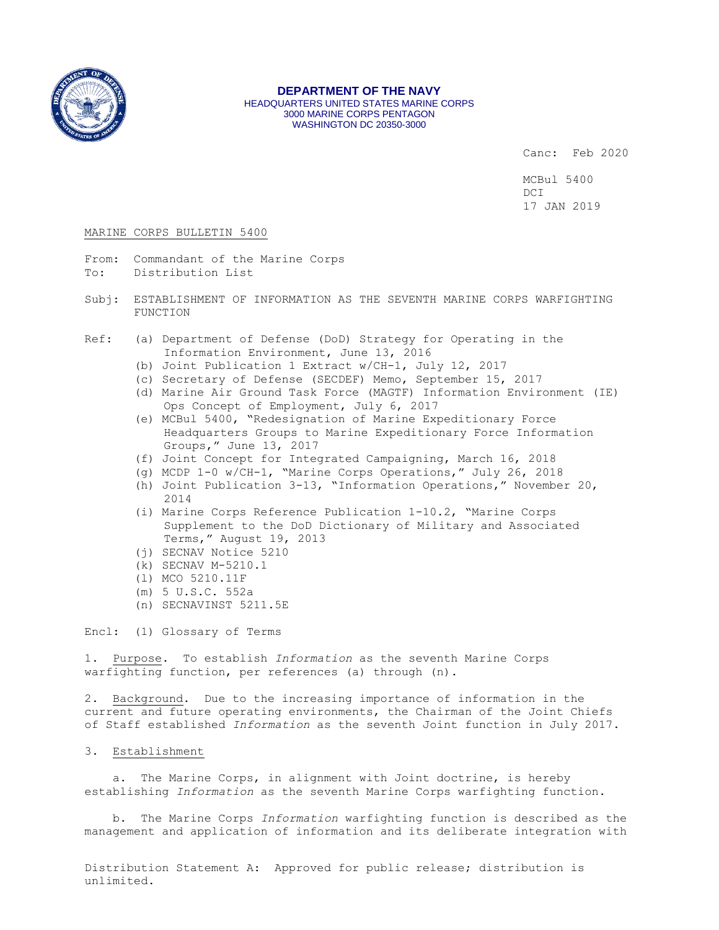

#### **DEPARTMENT OF THE NAVY** HEADQUARTERS UNITED STATES MARINE CORPS 3000 MARINE CORPS PENTAGON WASHINGTON DC 20350-3000

Canc: Feb 2020

MCBul 5400 DCI 17 JAN 2019

### MARINE CORPS BULLETIN 5400

- From: Commandant of the Marine Corps To: Distribution List
- 
- Subj: ESTABLISHMENT OF INFORMATION AS THE SEVENTH MARINE CORPS WARFIGHTING FUNCTION
- Ref: (a) Department of Defense (DoD) Strategy for Operating in the Information Environment, June 13, 2016
	- (b) Joint Publication 1 Extract w/CH-1, July 12, 2017
	- (c) Secretary of Defense (SECDEF) Memo, September 15, 2017
	- (d) Marine Air Ground Task Force (MAGTF) Information Environment (IE) Ops Concept of Employment, July 6, 2017
	- (e) MCBul 5400, "Redesignation of Marine Expeditionary Force Headquarters Groups to Marine Expeditionary Force Information Groups," June 13, 2017
	- (f) Joint Concept for Integrated Campaigning, March 16, 2018
	- (g) MCDP 1-0 w/CH-1, "Marine Corps Operations," July 26, 2018
	- (h) Joint Publication 3-13, "Information Operations," November 20, 2014
	- (i) Marine Corps Reference Publication 1-10.2, "Marine Corps Supplement to the DoD Dictionary of Military and Associated Terms," August 19, 2013
	- (j) SECNAV Notice 5210
	- (k) SECNAV M-5210.1
	- (l) MCO 5210.11F
	- (m) 5 U.S.C. 552a
	- (n) SECNAVINST 5211.5E

Encl: (1) Glossary of Terms

1. Purpose. To establish *Information* as the seventh Marine Corps warfighting function, per references (a) through (n).

2. Background. Due to the increasing importance of information in the current and future operating environments, the Chairman of the Joint Chiefs of Staff established *Information* as the seventh Joint function in July 2017.

# 3. Establishment

 a. The Marine Corps, in alignment with Joint doctrine, is hereby establishing *Information* as the seventh Marine Corps warfighting function.

 b. The Marine Corps *Information* warfighting function is described as the management and application of information and its deliberate integration with

Distribution Statement A: Approved for public release; distribution is unlimited.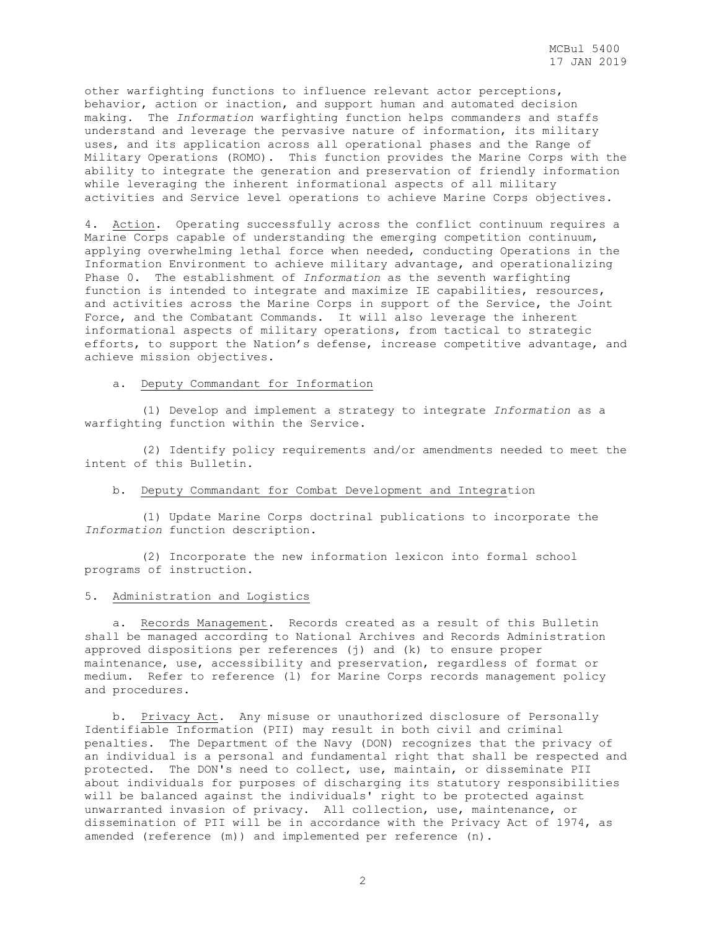other warfighting functions to influence relevant actor perceptions, behavior, action or inaction, and support human and automated decision making. The *Information* warfighting function helps commanders and staffs understand and leverage the pervasive nature of information, its military uses, and its application across all operational phases and the Range of Military Operations (ROMO). This function provides the Marine Corps with the ability to integrate the generation and preservation of friendly information while leveraging the inherent informational aspects of all military activities and Service level operations to achieve Marine Corps objectives.

4. Action. Operating successfully across the conflict continuum requires a Marine Corps capable of understanding the emerging competition continuum, applying overwhelming lethal force when needed, conducting Operations in the Information Environment to achieve military advantage, and operationalizing Phase 0. The establishment of *Information* as the seventh warfighting function is intended to integrate and maximize IE capabilities, resources, and activities across the Marine Corps in support of the Service, the Joint Force, and the Combatant Commands. It will also leverage the inherent informational aspects of military operations, from tactical to strategic efforts, to support the Nation's defense, increase competitive advantage, and achieve mission objectives.

#### a. Deputy Commandant for Information

 (1) Develop and implement a strategy to integrate *Information* as a warfighting function within the Service.

 (2) Identify policy requirements and/or amendments needed to meet the intent of this Bulletin.

# b. Deputy Commandant for Combat Development and Integration

 (1) Update Marine Corps doctrinal publications to incorporate the *Information* function description.

 (2) Incorporate the new information lexicon into formal school programs of instruction.

## 5. Administration and Logistics

 a. Records Management. Records created as a result of this Bulletin shall be managed according to National Archives and Records Administration approved dispositions per references (j) and (k) to ensure proper maintenance, use, accessibility and preservation, regardless of format or medium. Refer to reference (l) for Marine Corps records management policy and procedures.

 b. Privacy Act. Any misuse or unauthorized disclosure of Personally Identifiable Information (PII) may result in both civil and criminal penalties. The Department of the Navy (DON) recognizes that the privacy of an individual is a personal and fundamental right that shall be respected and protected. The DON's need to collect, use, maintain, or disseminate PII about individuals for purposes of discharging its statutory responsibilities will be balanced against the individuals' right to be protected against unwarranted invasion of privacy. All collection, use, maintenance, or dissemination of PII will be in accordance with the Privacy Act of 1974, as amended (reference (m)) and implemented per reference (n).

2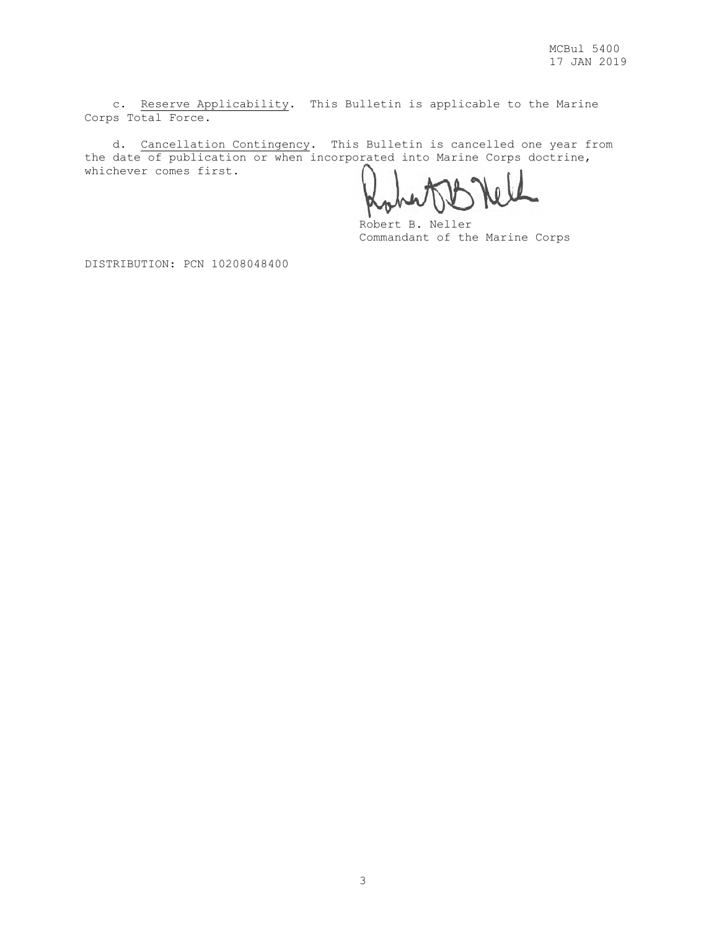c. Reserve Applicability. This Bulletin is applicable to the Marine Corps Total Force.

 d. Cancellation Contingency. This Bulletin is cancelled one year from the date of publication or when incorporated into Marine Corps doctrine, whichever comes first.

Robert B. Neller Commandant of the Marine Corps

DISTRIBUTION: PCN 10208048400